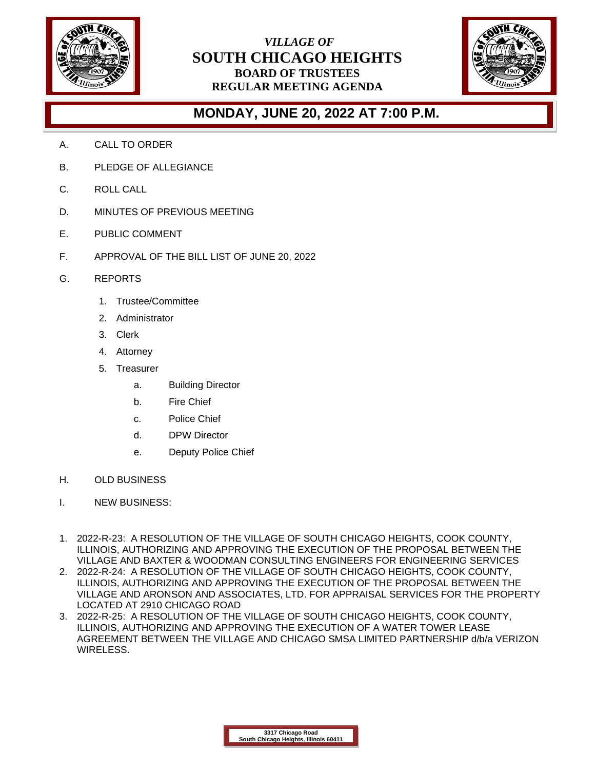

## *VILLAGE OF* **SOUTH CHICAGO HEIGHTS BOARD OF TRUSTEES REGULAR MEETING AGENDA**



## **MONDAY, JUNE 20, 2022 AT 7:00 P.M.**

- A. CALL TO ORDER
- B. PLEDGE OF ALLEGIANCE
- C. ROLL CALL
- D. MINUTES OF PREVIOUS MEETING
- E. PUBLIC COMMENT
- F. APPROVAL OF THE BILL LIST OF JUNE 20, 2022
- G. REPORTS
	- 1. Trustee/Committee
	- 2. Administrator
	- 3. Clerk
	- 4. Attorney
	- 5. Treasurer
		- a. Building Director
		- b. Fire Chief
		- c. Police Chief
		- d. DPW Director
		- e. Deputy Police Chief
- H. OLD BUSINESS
- I. NEW BUSINESS:
- 1. 2022-R-23: A RESOLUTION OF THE VILLAGE OF SOUTH CHICAGO HEIGHTS, COOK COUNTY, ILLINOIS, AUTHORIZING AND APPROVING THE EXECUTION OF THE PROPOSAL BETWEEN THE VILLAGE AND BAXTER & WOODMAN CONSULTING ENGINEERS FOR ENGINEERING SERVICES
- 2. 2022-R-24: A RESOLUTION OF THE VILLAGE OF SOUTH CHICAGO HEIGHTS, COOK COUNTY, ILLINOIS, AUTHORIZING AND APPROVING THE EXECUTION OF THE PROPOSAL BETWEEN THE VILLAGE AND ARONSON AND ASSOCIATES, LTD. FOR APPRAISAL SERVICES FOR THE PROPERTY LOCATED AT 2910 CHICAGO ROAD
- 3. 2022-R-25: A RESOLUTION OF THE VILLAGE OF SOUTH CHICAGO HEIGHTS, COOK COUNTY, ILLINOIS, AUTHORIZING AND APPROVING THE EXECUTION OF A WATER TOWER LEASE AGREEMENT BETWEEN THE VILLAGE AND CHICAGO SMSA LIMITED PARTNERSHIP d/b/a VERIZON WIRELESS.